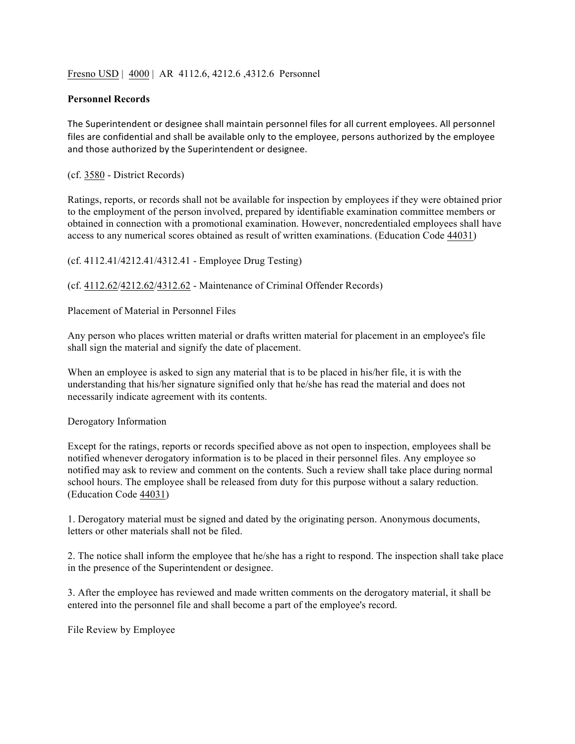## Fresno USD | 4000 | AR 4112.6, 4212.6 ,4312.6 Personnel

## **Personnel Records**

The Superintendent or designee shall maintain personnel files for all current employees. All personnel files are confidential and shall be available only to the employee, persons authorized by the employee and those authorized by the Superintendent or designee.

(cf. 3580 - District Records)

Ratings, reports, or records shall not be available for inspection by employees if they were obtained prior to the employment of the person involved, prepared by identifiable examination committee members or obtained in connection with a promotional examination. However, noncredentialed employees shall have access to any numerical scores obtained as result of written examinations. (Education Code 44031)

(cf. 4112.41/4212.41/4312.41 - Employee Drug Testing)

(cf. 4112.62/4212.62/4312.62 - Maintenance of Criminal Offender Records)

Placement of Material in Personnel Files

Any person who places written material or drafts written material for placement in an employee's file shall sign the material and signify the date of placement.

When an employee is asked to sign any material that is to be placed in his/her file, it is with the understanding that his/her signature signified only that he/she has read the material and does not necessarily indicate agreement with its contents.

## Derogatory Information

Except for the ratings, reports or records specified above as not open to inspection, employees shall be notified whenever derogatory information is to be placed in their personnel files. Any employee so notified may ask to review and comment on the contents. Such a review shall take place during normal school hours. The employee shall be released from duty for this purpose without a salary reduction. (Education Code 44031)

1. Derogatory material must be signed and dated by the originating person. Anonymous documents, letters or other materials shall not be filed.

2. The notice shall inform the employee that he/she has a right to respond. The inspection shall take place in the presence of the Superintendent or designee.

3. After the employee has reviewed and made written comments on the derogatory material, it shall be entered into the personnel file and shall become a part of the employee's record.

File Review by Employee